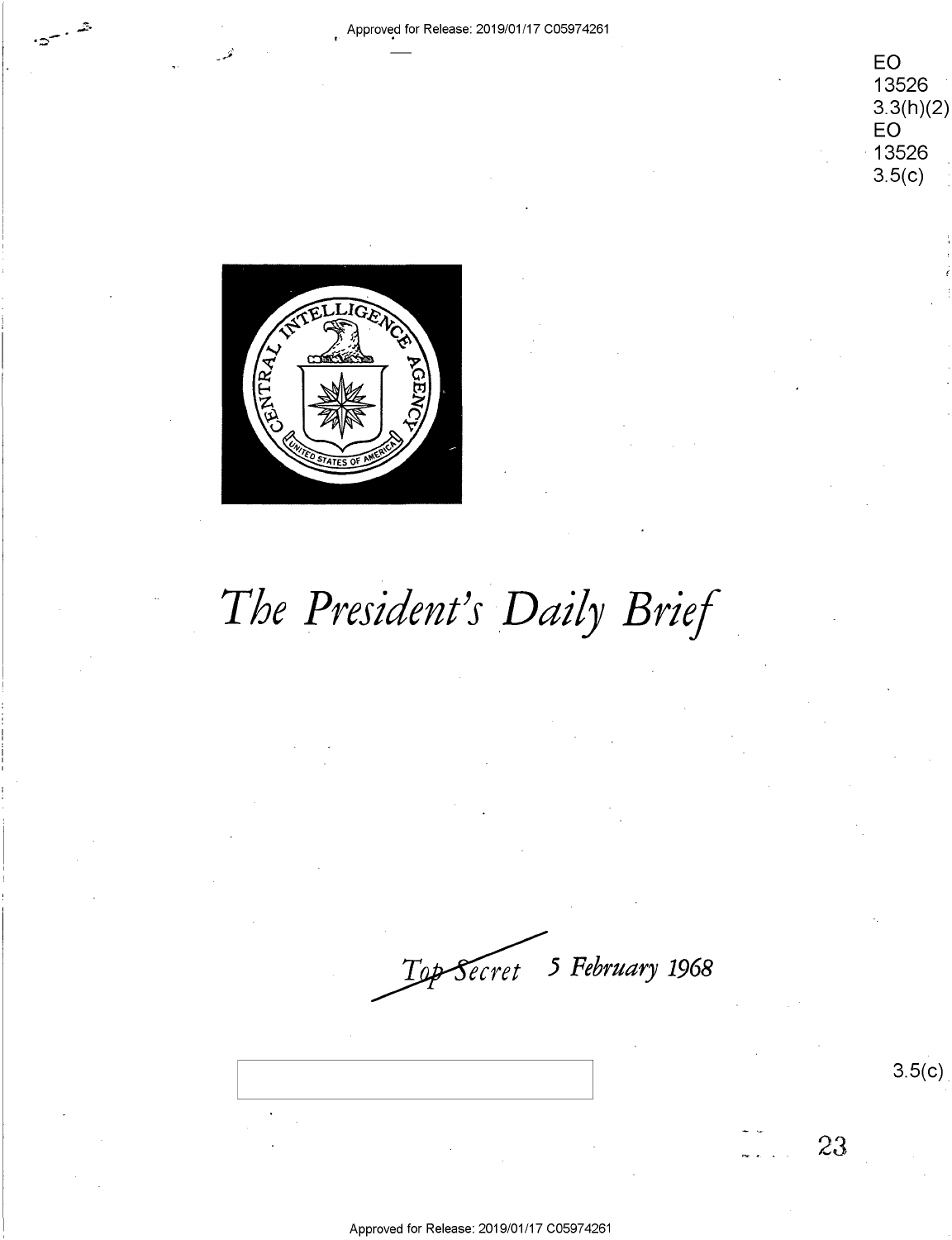

EO 13526  $3.3(h)(2)$ EO 13526  $3.5(c)$ 



# The President's Daily Brief

Top-Secret 5 February 1968

Approved for Release: 2019/01/17 C05974261

 $3.5(c)$ 

23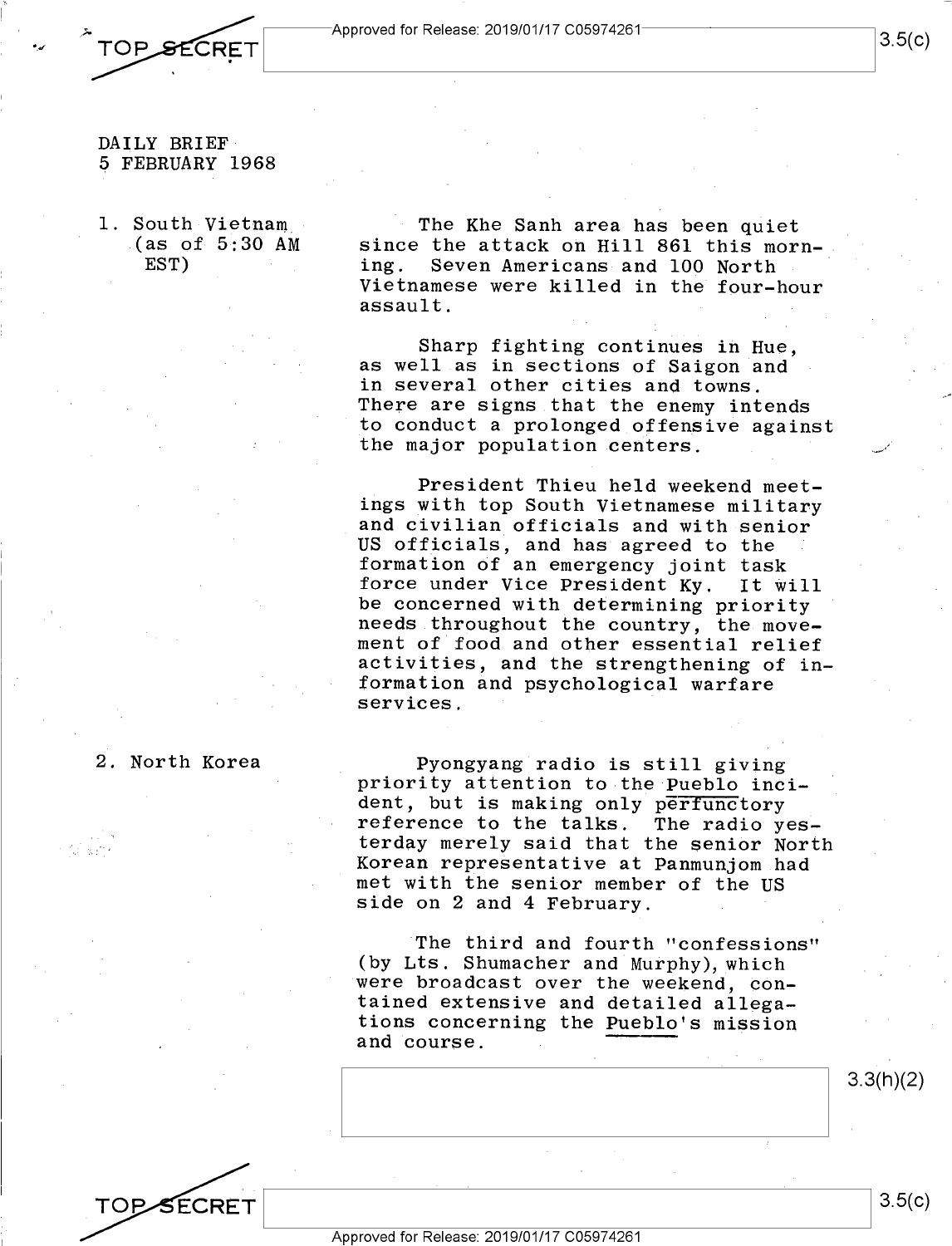

*•\_.r* 

#### DAILY BRIEF DAILY BRIEF-5 FEBRUARY 1968 5 FEBRUARY 1968

1. South Vietnam (as of 5:30 AM 1. South-Vietnam\_- .(as of-5é30 AM EST) EST) <sup>=</sup>

The Khe Sanh area has been quiet The Khe Sanh area has been quiet since the attack on Hill 861 this morning. Seven Americans and 100 North ing. Seven Americans-and 100 North Vietnamese were killed in the four-hour Vietnamese were killed in the four—hour assault. **Example 20** and the 19th node

Sharp fighting continues in Hue, Sharp fighting continues in Hue, as well as in sections of Saigon and as we11.as in sections of Saigon and in several other cities and towns. in several other cities and towns. There are signs that the enemy intends There are signs that the enemy intends to conduct a prolonged offensive against<br>the major population centers. the major population centers.

President Thieu held weekend meet-. President Thieu held weekend meet ings with top South Vietnamese military ings with top South Vietnamese military and civilian officials and with senior US officials, and has agreed to the US officials, and has agreed to the formation of an emergency joint task formation Of an emergency joint task force under Vice President Ky. It will force under Vice President Ky. It Will be concerned with determining priority be concerned with determining priority needs throughout the country, the move-needs.throughout the country, the move ment of food and other essential relief ment of food and other essential relief activities, and the strengthening of in-activities, and the strengthening of in formation and psychological warfare formation and psychological warfare services. TOP SECRET  $\frac{1500}{1000}$ <br>
DAILY BRIRE 3.5(c)  $\frac{1500}{1000}$ <br>  $\frac{1500}{1000}$ <br>  $\frac{1500}{1000}$ <br>  $\frac{1500}{1000}$ <br>  $\frac{1500}{1000}$ <br>  $\frac{1500}{1000}$ <br>  $\frac{1500}{1000}$ <br>  $\frac{1500}{1000}$ <br>  $\frac{1500}{1000}$ <br>  $\frac{1500}{1000}$ <br>  $\frac{$ 

### 2. North Korea 2. North Korea

Pyongyang radio is still giving Pyongyang radio is still giving priority attention to the Pueblo inci-priority attention to-the Pueblo incident, but is making only perfunctory dent, but is making only perfunctory reference to the talks. The radio yesterday merely said that the senior North where, where the control with the sense of the sense of the sense of the sense of the sense of the sense of the sense of the sense of the sense of the sense of the sense of the sense of the sense of the sense of the sense met with the senior member of the US met with the senior member of the U side on 2 and 4 February.

The third and fourth "confessions" (by Lts. Shumacher and Murphy), which were broadcast over the weekend, contained extensive and detailed allega-tained extensive and detailed allega tions concerning the Pueblo's mission tions concerning the Pueblo's mission and course. and'course. \_\*'"\_\_

 $3.3(h)(2)$ 

 $3.5(c)$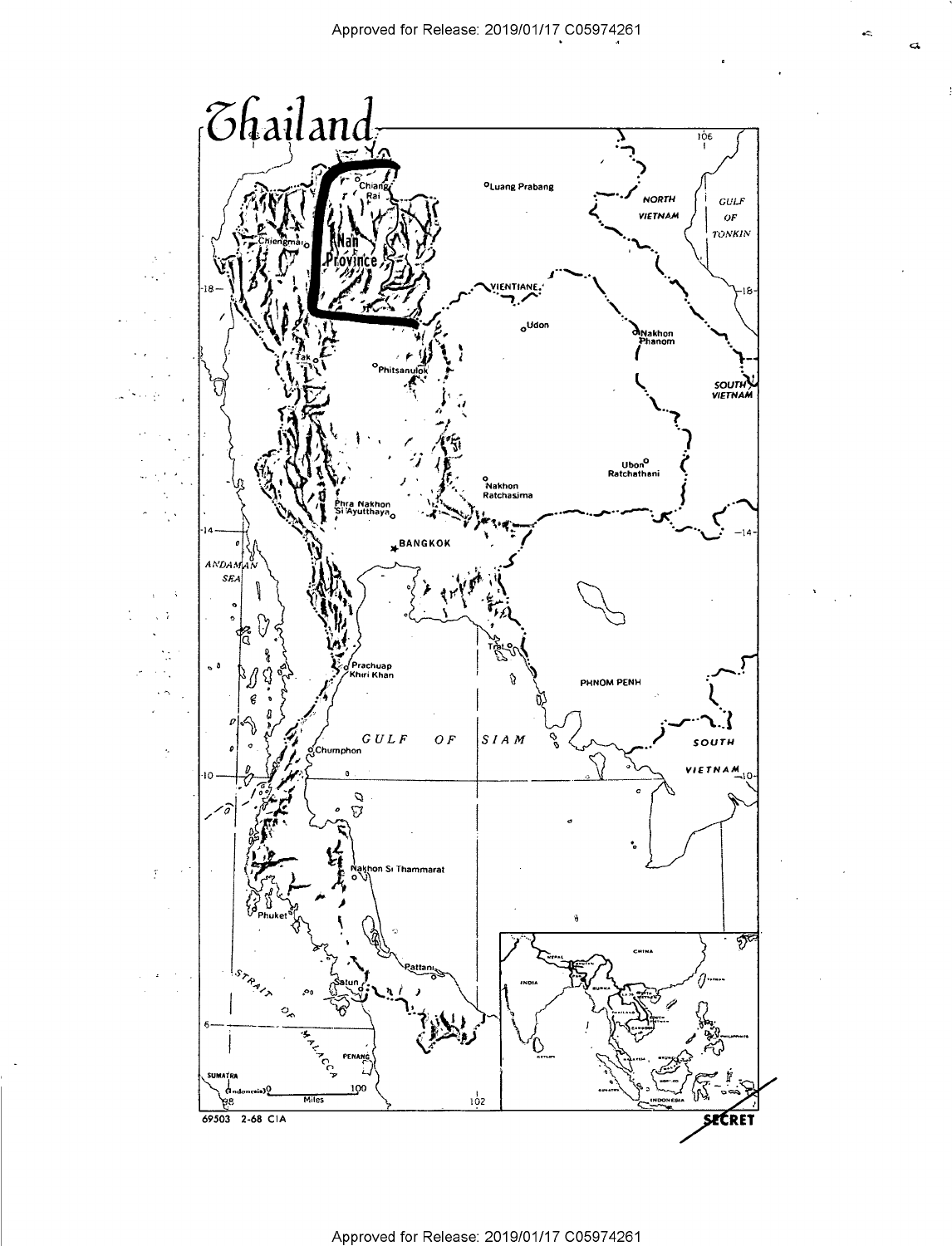

éÓ,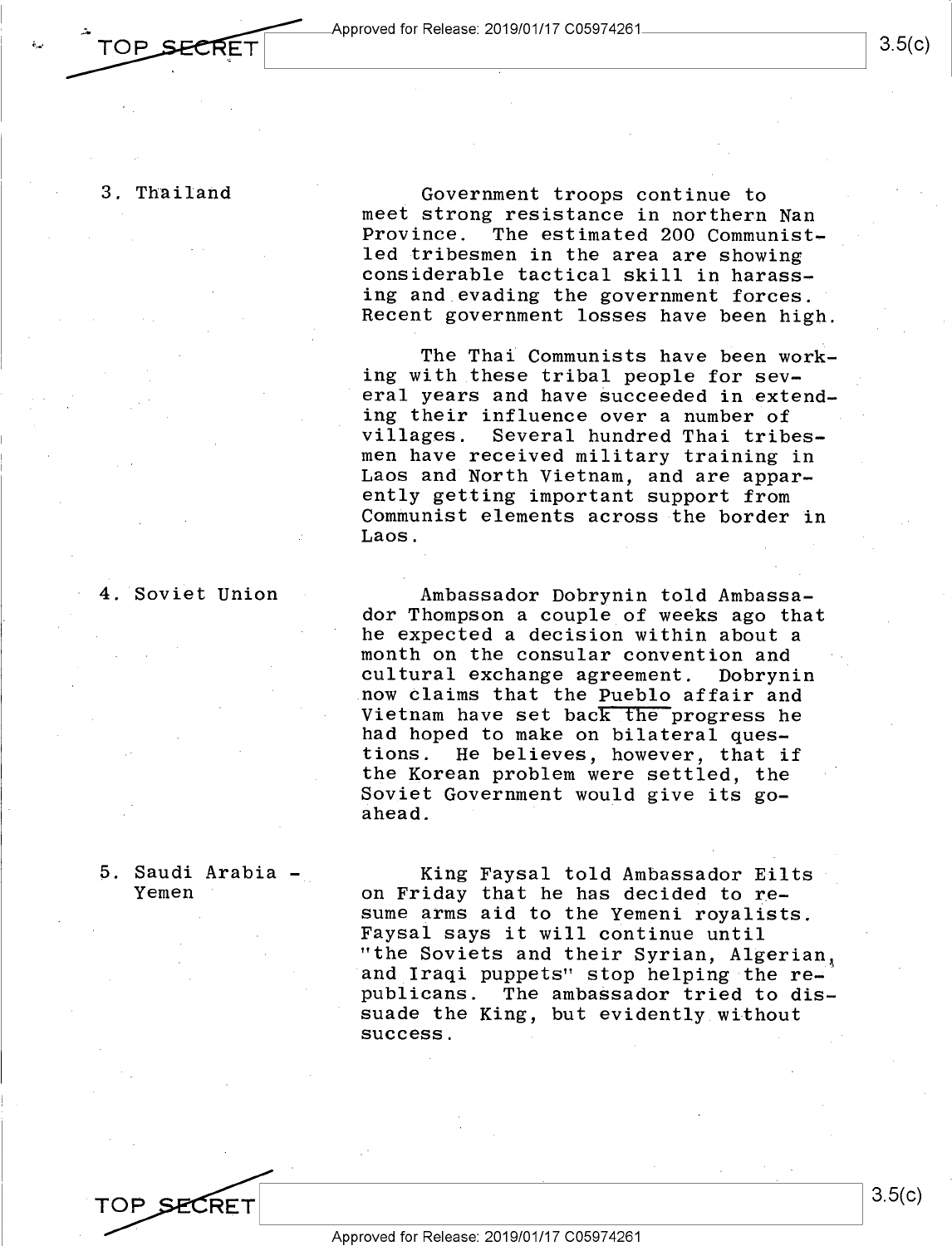3. Thailand

TOP SECRET

3. Thailand 1 Government troops continue to meet strong resistance in northern Nan meet strong resistance in northern Nan Province. The estimated 200 Communist-Province. The estimated 200 Communist led tribesmen in the area are showing led tribesmen in the area are showing considerable tactical skill in harass-considerable tactical skill in harass ing and evading the government forces. ing and\_evading the government forces. Recent government losses have been high. Recent government losses have been high.

> The Thai Communists have been work-The Thai Communists have been work ing with these tribal people for several years and have succeeded in extending their influence over a number of ing their influence over <sup>a</sup> number of villages. Several hundred Thai tribes-villages. Several hundred Thai tribesmen have received military training in men have received military training in Laos and North Vietnam, and are appar-Laos and North Vietnam, and are apparently getting important support from ently getting important support from Communist elements across the border in Communist elements across-the border in Laos. Laos.

4. Soviet Union

Ambassador Dobrynin told Ambassa-4. Soviet Union - Ambassador Dobrynin told Ambassador Thompson a couple of weeks ago that he expected a decision within about a he expected <sup>a</sup> decision within about <sup>a</sup> month on the consular convention and month on the consular convention and cultural exchange agreement. Dobrynin cultural exchange agreement. Dobrynin now claims that the <u>Pueblo</u> affair and whether the contract of the progress he vietnam have set back the progress he had hoped to make on bilateral ques-had hoped to make on bilateral questions. He believes, however, that if tions. He believes, however, that if the Korean problem were settled, the the Korean problem were settled, the Soviet Government would give its go-Soviet Government would give its goahead. ahead. '

#### 5. Saudi Arabia - Yemen

5. Saudi Arabia – King Faysal told Ambassador Eilts on Friday that he has decided to re-Yemen ' on Friday that he has decided to resume arms aid to the Yemeni royalists. sume arms aid to the Yemeni royalists. Faysal says it will continue until Faysal says it will continue until "the Soviets and their Syrian, Algerian, and Iraqi puppets" stop helping the rend in the puppers stop norping the iom computer of the substitutions. The ambassador tried to dis-.<br>suade the King, but evidently without success. success. —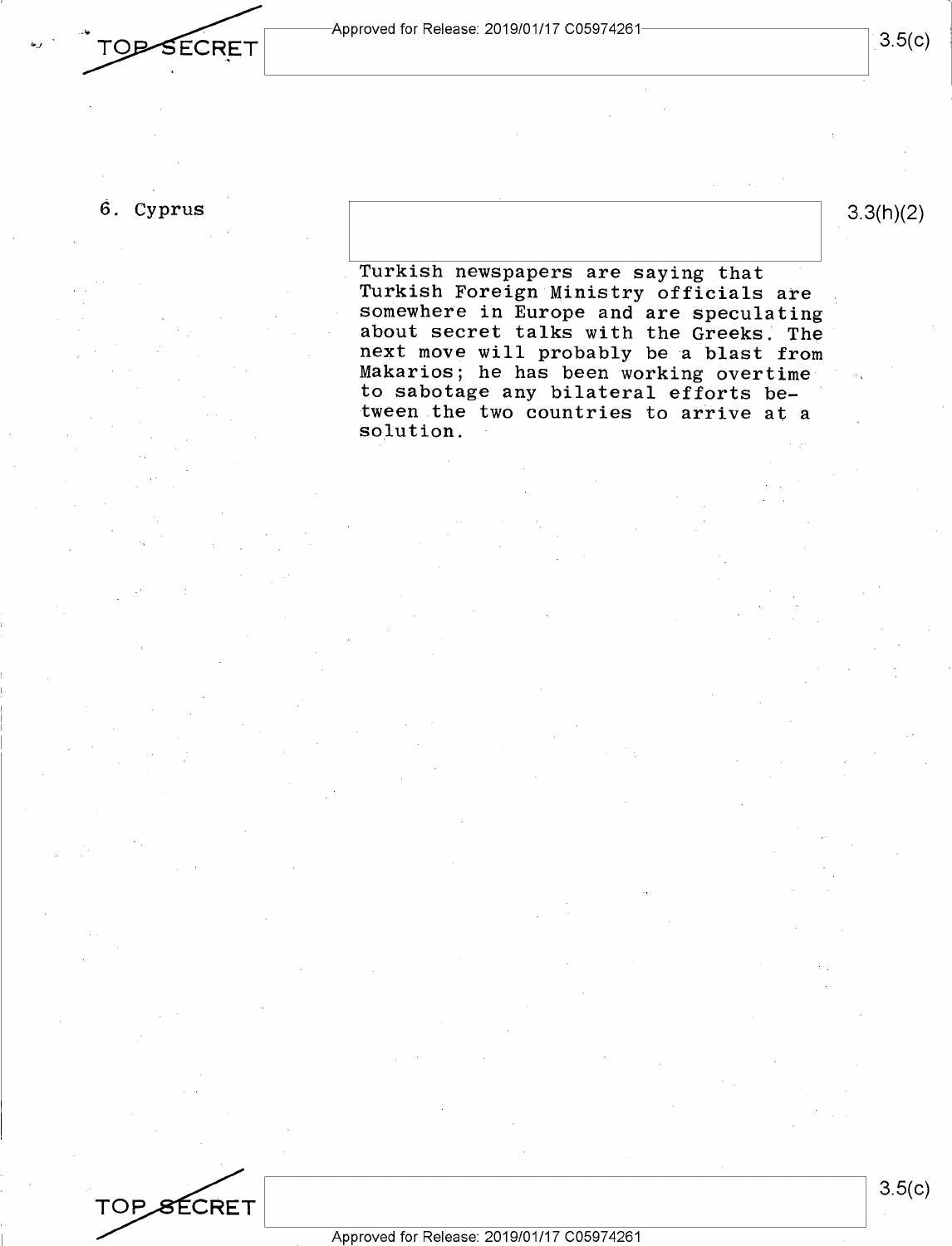$\begin{array}{|c|c|c|}\hline \quad & {\rm Approved for Release: 2019/01/17 C05974261} \ \hline \end{array} \hspace{0.25cm} \begin{array}{|c|c|c|c|}\hline \quad & {\rm Approved for Release: 2019/01/17 C05974261} \ \hline \end{array}$ 

## 6. Cyprus 6. Cyprus

**TOP SECRET** 

a-J'

 $3.3(h)(2)$ 

Turkish newspapers are saying that . Turkish newspapers are saying that Turkish Foreign Ministry officials are Turkish FOreign Ministry officials are somewhere in Europe and are speculating somewhere in Europe and are speculating about secret talks with the Greeks. The next move will probably be a blast from Makarios; he has been working overtime Makarios; he has been working overtimeto sabotage any bilateral efforts be-to sabotage any bilateral efforts be tween the two countries to arrive at a solution. solution.

TOP SECRET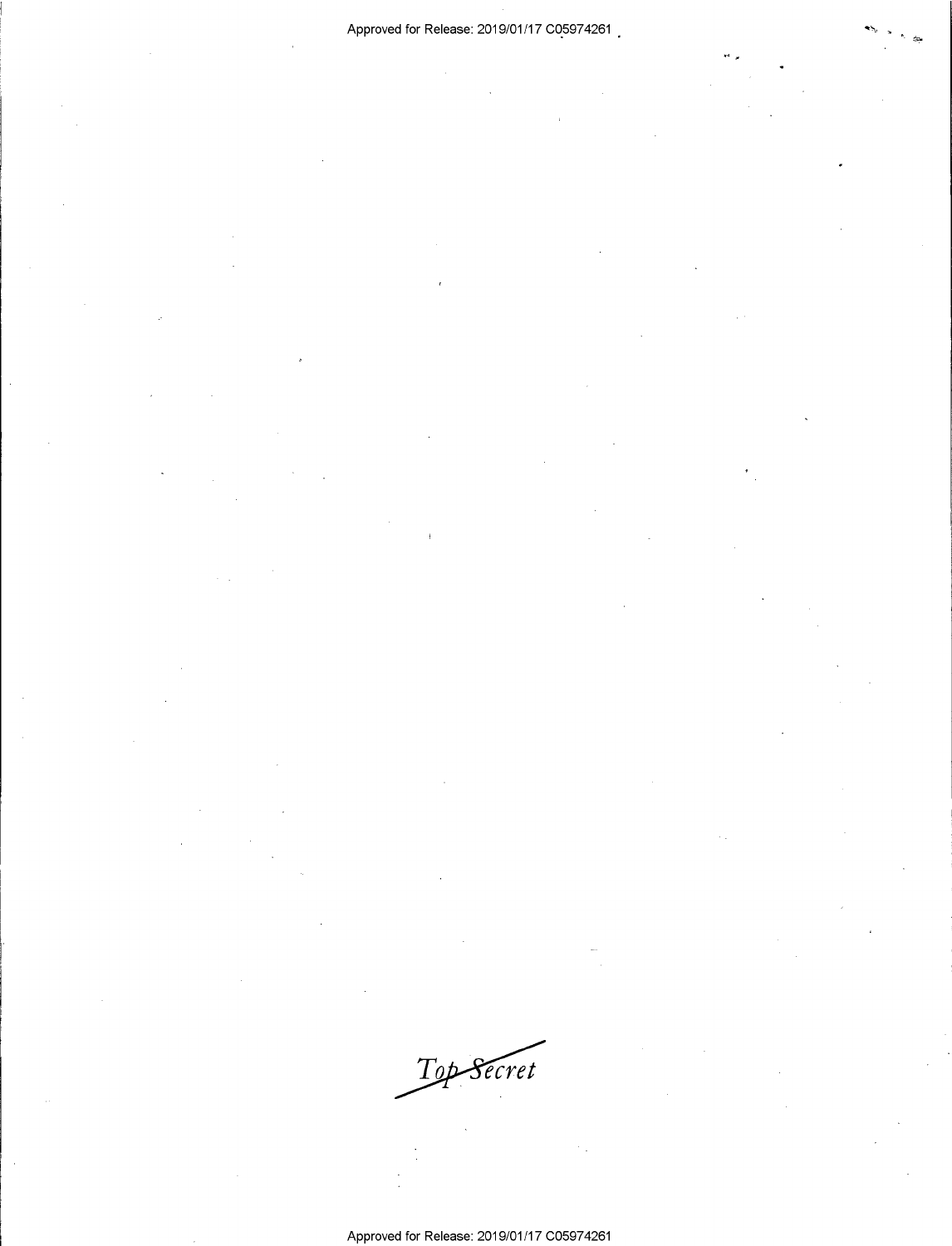Top Secret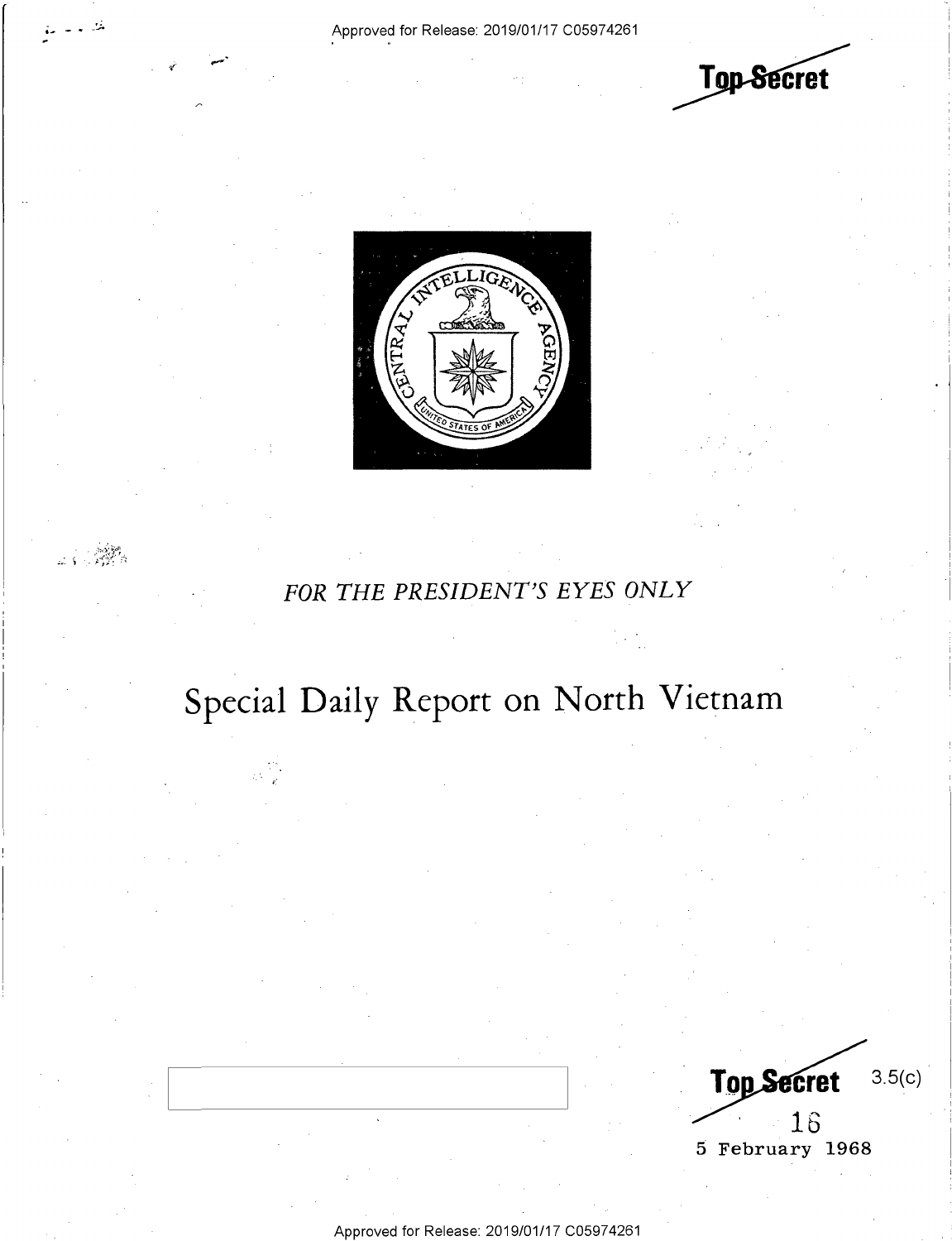- 52

 $\label{eq:2.1} \lim_{\lambda\to 0}\frac{\ln\lambda^2\frac{\lambda^2\sigma^2}{\lambda^2}}{1-\lambda^2}\,.$ 

Top-Secret



## FOR THE PRESIDENT'S EYES ONLY

## Special Daily Report on North Vietnam

 $3.5(c)$ **Top Secret** 16 5 February 1968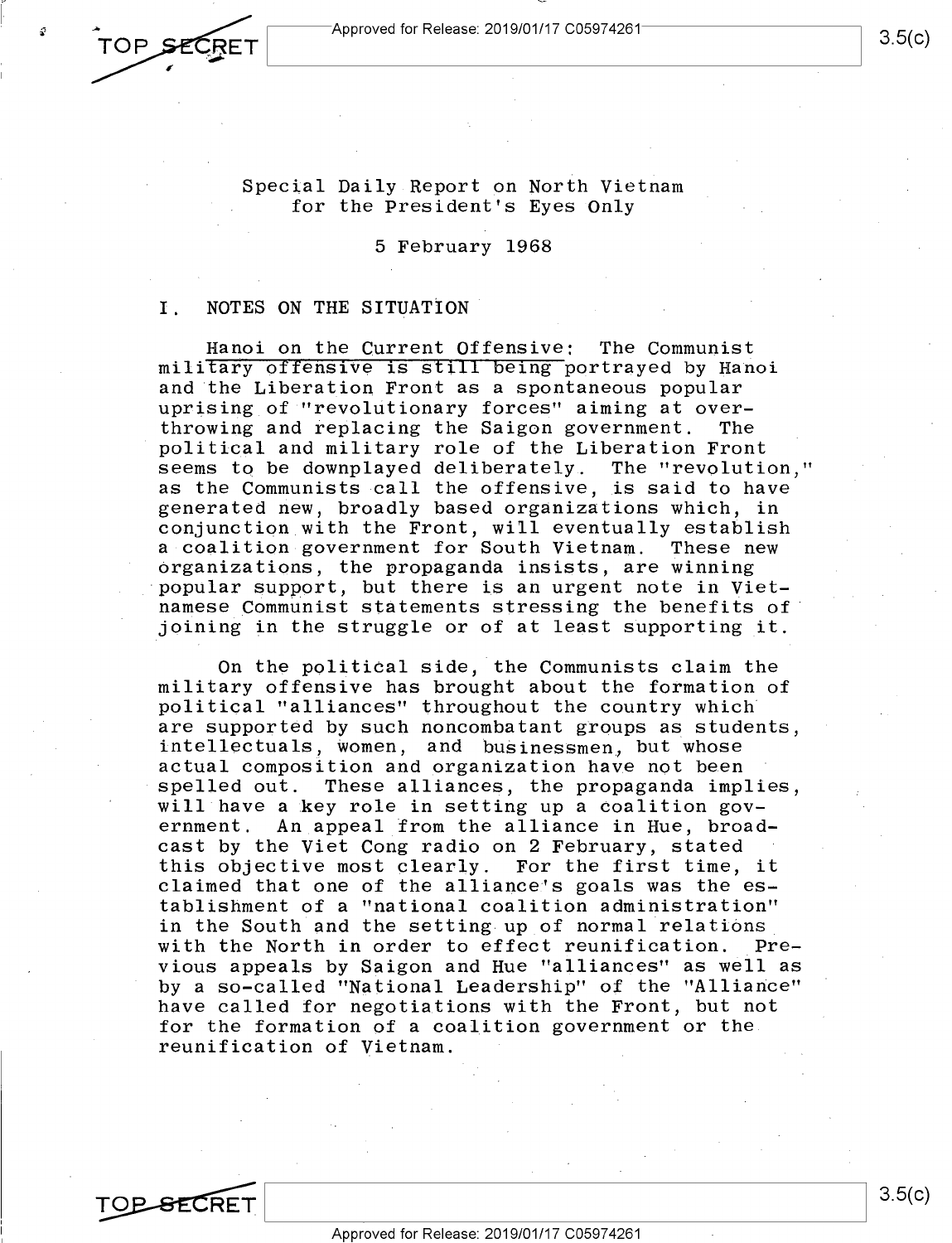1-...—

### Special Daily Report on North Vietnam Special Daily Report on North Vietnam for the President's Eyes Only for the President's Eyes Only

## 5 February 1968 5 February 1968

## I. NOTES ON THE SITUATION I. NOTES ON THE SITUATION'

Hanoi on the Current Offensive: The Communist Hanoi on the Current Offensive: The Communist military offensive is still being portrayed by Hanoi and the Liberation Front as a spontaneous popular and'the Liberation Front as <sup>a</sup> spontaneous popular uprising of "revolutionary forces" aiming at over-uprising\_of "revolutionary forces" aiming at over throwing and replacing the Saigon government. The throwing and replacing the Saigon government. The political and military role of the Liberation Front political and military role of the Liberation Front seems tq be downplayed deliberately. The "revolution," seems to be downplayed deliberately- The "revolution," as the Communists call the offensive, is said to have as the Communists call the offensive, is said to have generated new, broadly based organizations which, in generated new, broadly based organizations which, in conjunction with the Front, will eventually establish conjunction with the Front, will eventually establish a coalition government for South Vietnam. These new a-coalition-government for South Vietnam. These new organizations, the propaganda insists, are winning Organizations, the propaganda insists, are winning popular support, but there is an urgent note in Viet-'popular support, but there is an urgent note in Viet namese Communist statements stressing the benefits of joining in the struggle or of at least supporting it. joining in the struggle or of at least supporting\_it.

On the political side, the Communists claim the On the political side, the Communists claim the military offensive has brought about the formation of military offensive has brought about the formation of political "alliances" throughout the country which political "alliances" throughout the country which' are supported by such noncombatant groups as students, are supported by such noncombatant groups as students, intellectuals, women, and businessmen, but whose actual composition and organization have not been actual composition and organization have not been spelled out. These alliances, the propaganda implies, will have a key role in setting up a coalition gov-will have <sup>a</sup> key role in setting up <sup>a</sup> Coalition gov ernment. An appeal from the alliance in Hue, broad-ernment. An appeal from the alliance in Hue, broad cast by the Viet Cong radio on 2 February, stated cast by the Viet Cong radio on 2 February, stated this objective most clearly. For the first time, it this objective most clearly. For the first time, it claimed that one of the alliance's goals was the es-claimed that one of the allianceis goals was the es tablishment of a "national coalition administration" tablishment of a "national coalition administration" in the South and the setting up of normal relations with the North in order to effect reunification. Pre-with the North in order to effect reunification. vious appeals by Saigon and Hue "alliances" as well as vious appeals by Saigon and Hue "alliances" as well as by a so-called "National Leadership" of the "Alliance" have called for negotiations with the Front, but not have called for negotiations with the Front, but not for the formation of a coalition government or the for the formation of <sup>a</sup> coalition government or the. reunification of Vietnam. reunification of Vietnam. SECTIFY THE SECTION SECTION AND THE SECTION AND THE SECTION OF THE SECTION AND INTEREST THE SECTION AND THE SECTION OF THE SECTION AND THE SECTION AND THE SECTION OF THE SECTION OF THE SECTION AND THE SECTION AND THE SECT \_Pre—

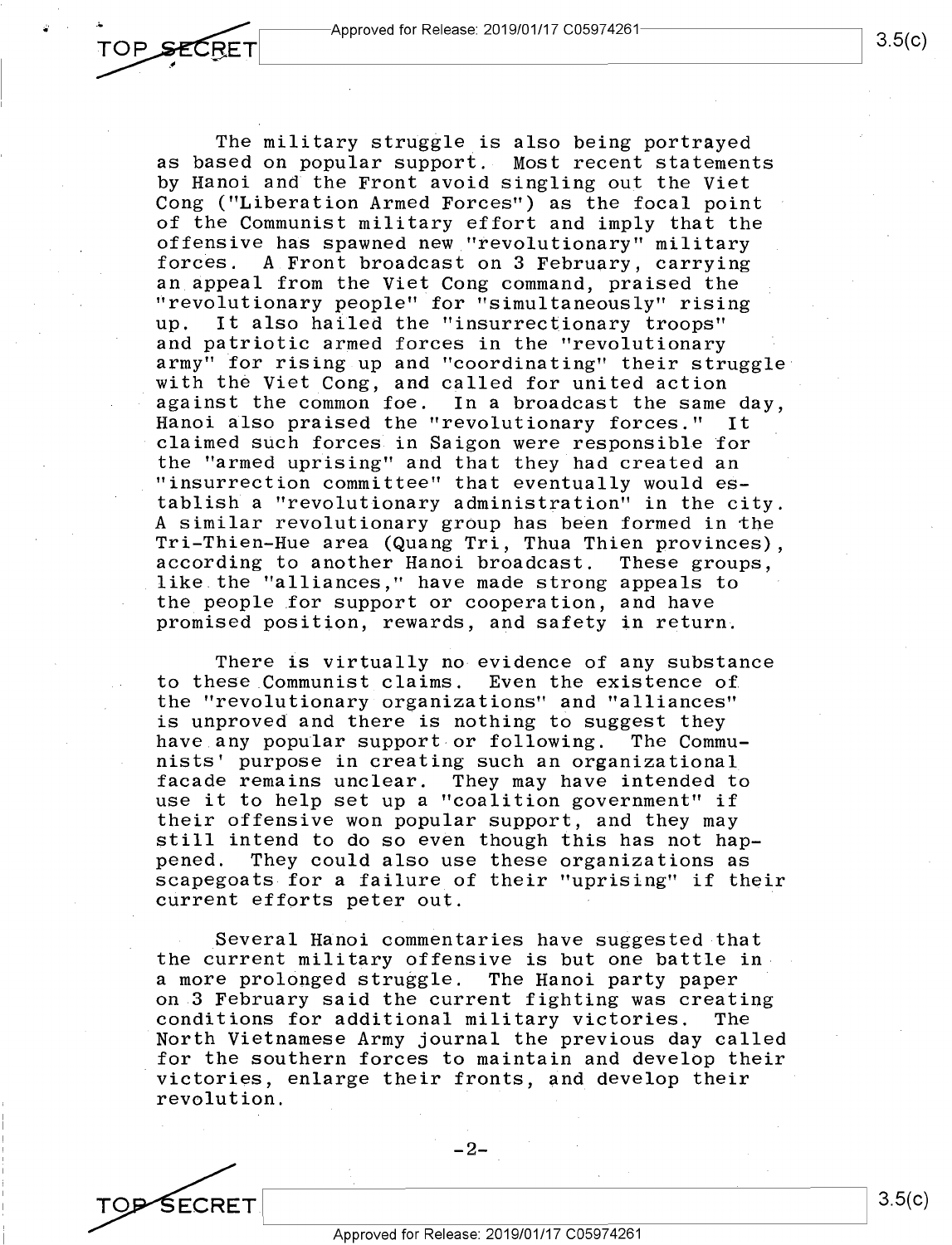The military struggle is also being portrayed The military struggle\_is also being portrayed as based on popular support. Most recent statements by Hanoi and the Front avoid singling out the Viet by Hanoi and the Front avoid singling out the Viet Cong ("Liberation Armed Forces") as the focal point Cong ("Liberation Armed Forces") as the focal point of the Communist military effort and imply that the of the Communist military effort and imply that the offensive has spawned new "revolutionary" military offensive has spawned new "revolutionary" military forces. A Front broadcast on 3 February, carrying forces. A.Front broadcast on 3 February, carrying an appeal from the Viet Cong command, praised the an appeal from the Viet Cong command, praised the ''revolutionary people" for "simultaneously" rising "revolutionary people" for "simultaneously" rising up. It also hailed the "insurrectionary troops" up. It also hailed the "insurrectionary troops" and patriotic armed forces in the "revolutionary and patriotic armed forces in the "revolutionary army" for rising up and "coordinating" their struggle army" for rising up and "coordinating" their struggle with the Viet Cong, and called for united action against the common foe. In a broadcast the same day, against the common foe. In <sup>a</sup> broadcast the same day, Hanoi also praised the "revolutionary forces." It Hanoi also praised the "revolutionary forces." It claimed such forces in Saigon were responsible for the "armed uprising" and that they had created an the "armed uprising" and that they had created an "insurrection committee" that eventually would es-. "insurrection committee" that eventually would establish a "revolutionary administration" in the city. tablish <sup>a</sup> "revolutionary administration" in the city. A similar revolutionary group has been formed in the A similar revolutionary grOup has been formed in the Tri-Thien-Hue area (Quang Tri, Thua Thien provinces), Tri—Thien—Hue area (Quang Tri, Thua Thien provinces), according to another Hanoi broadcast. These groups, according to another Hanoi broadcast. These groups, abool and the matter strong and the groups, the people for support or cooperation, and have the people for support or cooperation, and have promised position, rewards, and safety in return.

There is virtually no evidence of any substance There is virtually no evidence of any substance to these Communist claims. Even the existence of to these Communist\_claims. Even the existence of the "revolutionary organizations" and "alliances" the "revolutionary organizations" and "alliances" is unproved and there is nothing to suggest they is unproved and there is nothing to suggest they have any popular support or following. The Commu-have any popular support or following. The Communists' purpose in creating such an organizational nists' purpose in creating such an organizational facade remains unclear. They may have intended to facade remains unclear. They may have intended to use it to help set up a "coalition government" if use it to help set up <sup>a</sup> "coalition government" if their offensive won popular support, and they may their offensive won popular support, and they may still intend to do so even though this has not hap-still intend to do so even though this has not hap pened. They could also use these organizations as pened. They could also use these organizations as scapegoats for a failure of their "uprising" if their scapegoats for <sup>a</sup> failure\_of their "uprising" if their current efforts peter out.

Several Hanoi commentaries have suggested that \_Several Hanoi commentaries have suggested that the current military offensive is but one battle in the current military offensive is but one battle ina more prolonged struggle. The Hanoi party paper <sup>a</sup> more prolOnged struggle. The Hanoi party paper ' on 3 February said the current fighting was creating on.3 February said the current fighting was creating conditions for additional military victories. The conditions for additional military victories. The North Vietnamese Army journal the previous day called 'North Vietnamese Army journal the previous day called for the southern forces to maintain and develop their for the southern forces to maintain and deve10p their victories, enlarge their fronts, and develop their 'victories, enlarge their fronts, and develop their revolution. revolution.

SECRET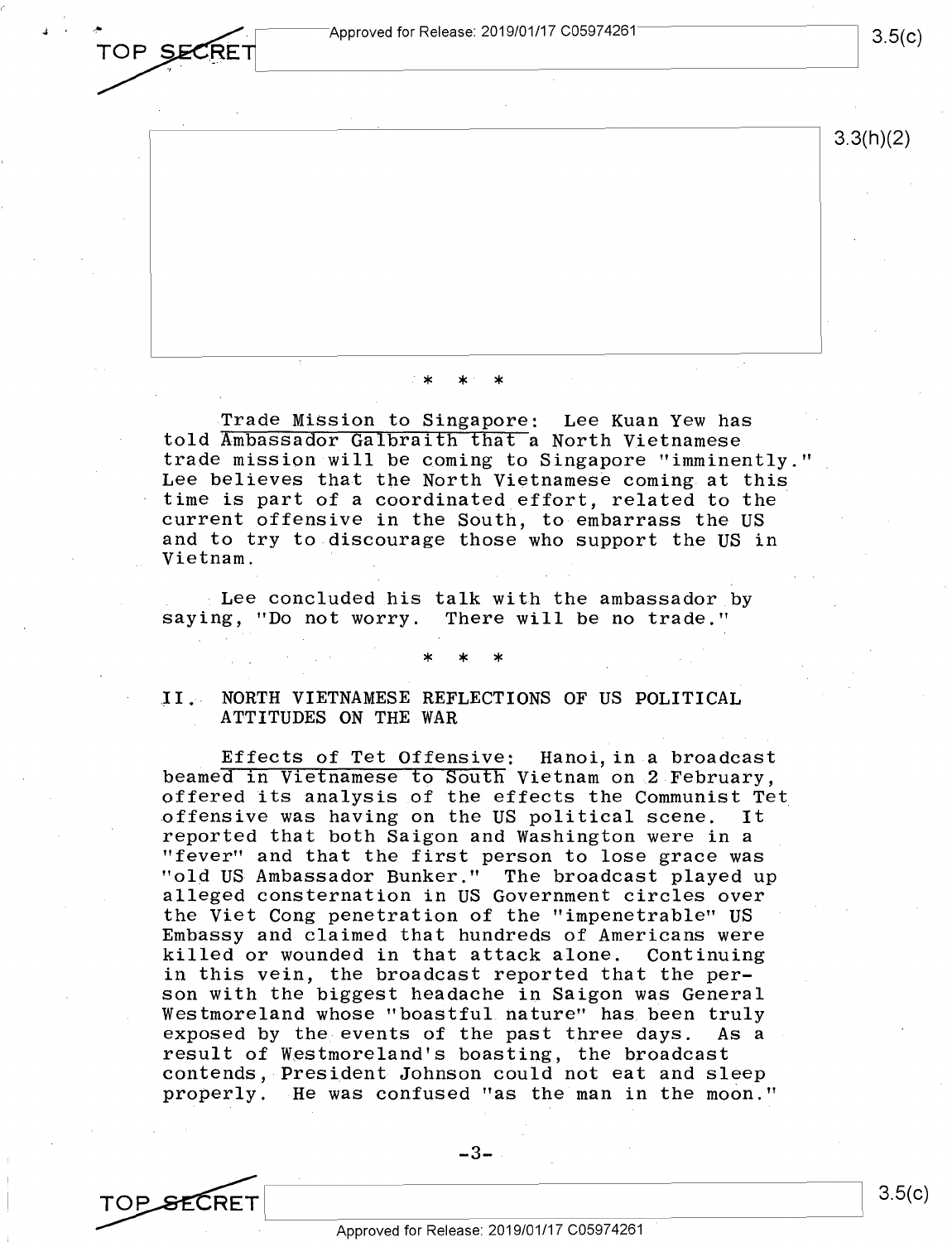J ' **;.OP s~** Approved for Release: 2019/01/17 C05974261 Approved for Release: 2019/01/17 C05974261 **3.5**<br>TOP SECRET **Approved for Release: 2019/01/17 C05974261** 3.5

3.3(h)(2)

\* \* \*

Trade Mission to Singapore: Lee Kuan Yew has told Ambassador Galbraith that a North Vietnamese told Ambassador Galbraith that a North Vietnamese trade mission will be coming to Singapore "imminently." trade mission will be coming to Singapore "imminently." Lee believes that the North Vietnamese coming at this Lee believes that the North Vietnamese coming at this time is part of a coordinated effort, related to the time is part of <sup>a</sup> coordinated effort, related to the current offensive in the South, to embarrass the US current offensive in the South, to-embarrass the US and to try to discourage those who support the US in and to try to discourage those who support the US in Vietnam. Vietnam. ' ,

 $\pm$  Lee concluded his talk with the ambassador by saying, "Do not worry. There will be no trade." saying, "Do not worry. There will be no trade."

\* \* \*

\*

\*

II. NORTH VIETNAMESE REFLECTIONS OF US POLITICAL ATTITUDES ON THE WAR ATTITUDES ON THE WAR

\*

Effects of Tet Offensive: Hanoi, in a broadcast . Effects of Tet Offensive: Hanoi,in <sup>a</sup> broadcast beamed in Vietnamese to South Vietnam on 2 February, beamed in Vietnamese to South Vietnam on.2 February, offered its analysis of the effects the Communist Tet offered its analysis of the effects the Communist Tet offensive was having on the US political scene. It .offensive was having on the US political scene. It reported that both Saigon and Washington were in a reported that both Saigon and Washington were in <sup>a</sup> "fever" and that the first person to lose grace was "fever" and that the first person to lose grace was "old US Ambassador Bunker." The broadcast played up "old US-Ambassador Bunker." The broadcast played up alleged consternation in US Government circles over alleged consternation in US Government circles over the Viet Cong penetration of the "impenetrable" US the Viet Cong penetration of the "impenetrable" US Embassy and claimed that hundreds of Americans were Embassy and claimed that hundreds of Americans were killed or wounded in that attack alone. Continuing killed or wounded in that attack alone. Continuing in this vein, the broadcast reported that the per-in this vein, the broadcast reported that the per son with the biggest headache in Saigon was General son with the biggest headache in Saigon was General Westmoreland whose "boastful nature" has been truly Westmoreland whose "boaStful nature" has been truly exposed by the events of the past three days. As a exposed by the events of the past three days. As <sup>a</sup> result of Westmoreland's boasting, the broadcast result of Westmoreland's boasting, the broadcast contends, President Johnson could not eat and sleep contends, President Johnson could not eat and sleep properly. He was confused "as the man in the moon."

 $-3-$